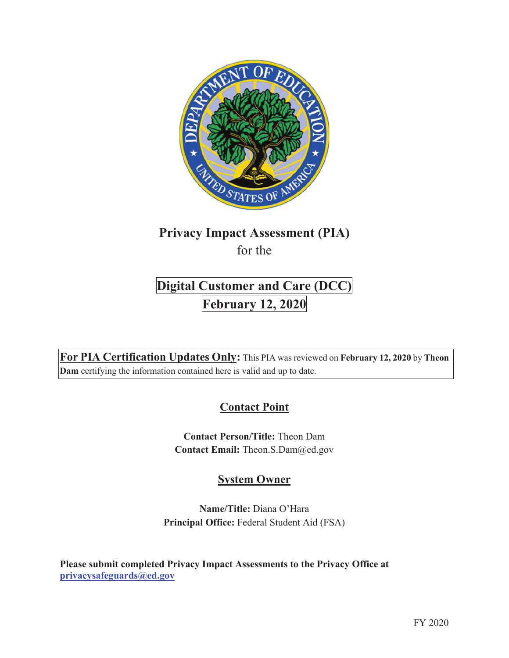

## **Privacy Impact Assessment (PIA)** for the

# **Digital Customer and Care (DCC) February 12, 2020**

**For PIA Certification Updates Only:** This PIA was reviewed on **February 12, 2020** by **Theon Dam** certifying the information contained here is valid and up to date.

## **Contact Point**

**Contact Person/Title:** Theon Dam **Contact Email:** Theon.S.Dam@ed.gov

## **System Owner**

**Name/Title:** Diana O'Hara **Principal Office:** Federal Student Aid (FSA)

**Please submit completed Privacy Impact Assessments to the Privacy Office at privacysafeguards@ed.gov**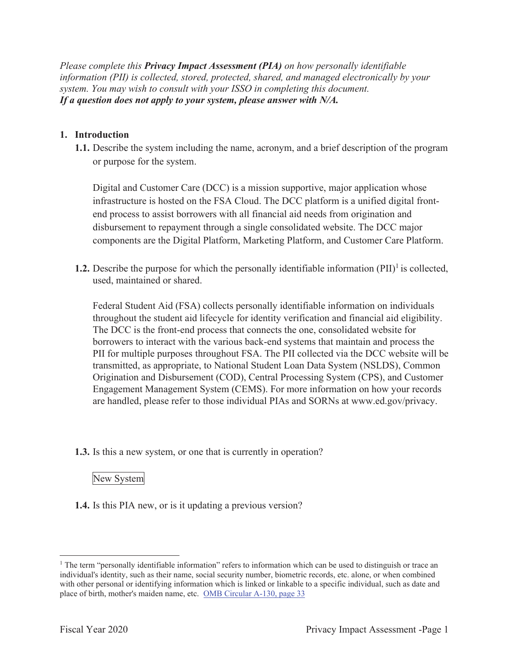*Please complete this Privacy Impact Assessment (PIA) on how personally identifiable information (PII) is collected, stored, protected, shared, and managed electronically by your system. You may wish to consult with your ISSO in completing this document. If a question does not apply to your system, please answer with N/A.*

#### **1. Introduction**

**1.1.** Describe the system including the name, acronym, and a brief description of the program or purpose for the system.

Digital and Customer Care (DCC) is a mission supportive, major application whose infrastructure is hosted on the FSA Cloud. The DCC platform is a unified digital frontend process to assist borrowers with all financial aid needs from origination and disbursement to repayment through a single consolidated website. The DCC major components are the Digital Platform, Marketing Platform, and Customer Care Platform.

**1.2.** Describe the purpose for which the personally identifiable information  $(PII)^{1}$  is collected, used, maintained or shared.

Federal Student Aid (FSA) collects personally identifiable information on individuals throughout the student aid lifecycle for identity verification and financial aid eligibility. The DCC is the front-end process that connects the one, consolidated website for borrowers to interact with the various back-end systems that maintain and process the PII for multiple purposes throughout FSA. The PII collected via the DCC website will be transmitted, as appropriate, to National Student Loan Data System (NSLDS), Common Origination and Disbursement (COD), Central Processing System (CPS), and Customer Engagement Management System (CEMS). For more information on how your records are handled, please refer to those individual PIAs and SORNs at www.ed.gov/privacy.

**1.3.** Is this a new system, or one that is currently in operation?

#### New System

**1.4.** Is this PIA new, or is it updating a previous version?

<sup>&</sup>lt;sup>1</sup> The term "personally identifiable information" refers to information which can be used to distinguish or trace an individual's identity, such as their name, social security number, biometric records, etc. alone, or when combined with other personal or identifying information which is linked or linkable to a specific individual, such as date and place of birth, mother's maiden name, etc. OMB Circular A-130, page 33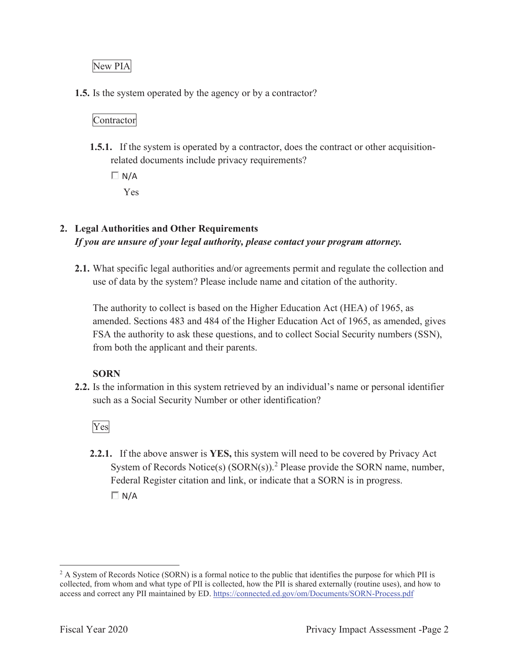## New PIA

**1.5.** Is the system operated by the agency or by a contractor?

### Contractor

**1.5.1.** If the system is operated by a contractor, does the contract or other acquisitionrelated documents include privacy requirements?

 $\Box N/A$ Yes

## **2. Legal Authorities and Other Requirements** *If you are unsure of your legal authority, please contact your program attorney.*

**2.1.** What specific legal authorities and/or agreements permit and regulate the collection and use of data by the system? Please include name and citation of the authority.

The authority to collect is based on the Higher Education Act (HEA) of 1965, as amended. Sections 483 and 484 of the Higher Education Act of 1965, as amended, gives FSA the authority to ask these questions, and to collect Social Security numbers (SSN), from both the applicant and their parents.

#### **SORN**

**2.2.** Is the information in this system retrieved by an individual's name or personal identifier such as a Social Security Number or other identification?

Yes

**2.2.1.** If the above answer is **YES,** this system will need to be covered by Privacy Act System of Records Notice(s)  $(SORN(s))$ .<sup>2</sup> Please provide the SORN name, number, Federal Register citation and link, or indicate that a SORN is in progress.  $\Box N/A$ 

<sup>&</sup>lt;sup>2</sup> A System of Records Notice (SORN) is a formal notice to the public that identifies the purpose for which PII is collected, from whom and what type of PII is collected, how the PII is shared externally (routine uses), and how to access and correct any PII maintained by ED. https://connected.ed.gov/om/Documents/SORN-Process.pdf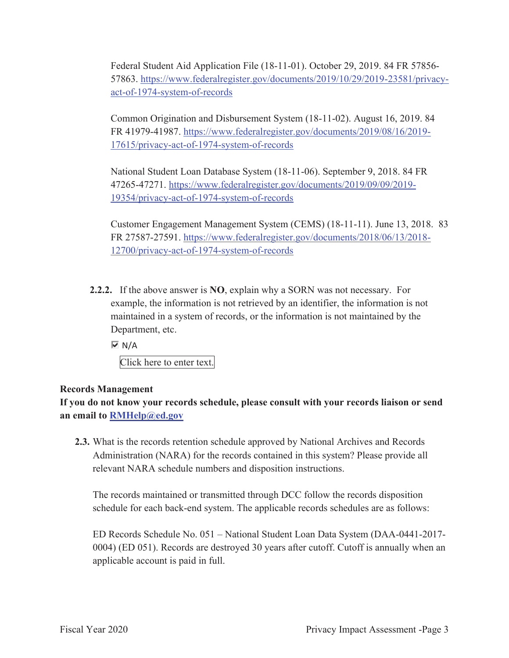Federal Student Aid Application File (18-11-01). October 29, 2019. 84 FR 57856- 57863. https://www.federalregister.gov/documents/2019/10/29/2019-23581/privacyact-of-1974-system-of-records

Common Origination and Disbursement System (18-11-02). August 16, 2019. 84 FR 41979-41987. https://www.federalregister.gov/documents/2019/08/16/2019- 17615/privacy-act-of-1974-system-of-records

National Student Loan Database System (18-11-06). September 9, 2018. 84 FR 47265-47271. https://www.federalregister.gov/documents/2019/09/09/2019- 19354/privacy-act-of-1974-system-of-records

Customer Engagement Management System (CEMS) (18-11-11). June 13, 2018. 83 FR 27587-27591. https://www.federalregister.gov/documents/2018/06/13/2018- 12700/privacy-act-of-1974-system-of-records

**2.2.2.** If the above answer is **NO**, explain why a SORN was not necessary. For example, the information is not retrieved by an identifier, the information is not maintained in a system of records, or the information is not maintained by the Department, etc.

 $\overline{M}$  N/A

Click here to enter text.

#### **Records Management**

**If you do not know your records schedule, please consult with your records liaison or send an email to RMHelp@ed.gov**

**2.3.** What is the records retention schedule approved by National Archives and Records Administration (NARA) for the records contained in this system? Please provide all relevant NARA schedule numbers and disposition instructions.

The records maintained or transmitted through DCC follow the records disposition schedule for each back-end system. The applicable records schedules are as follows:

ED Records Schedule No. 051 – National Student Loan Data System (DAA-0441-2017- 0004) (ED 051). Records are destroyed 30 years after cutoff. Cutoff is annually when an applicable account is paid in full.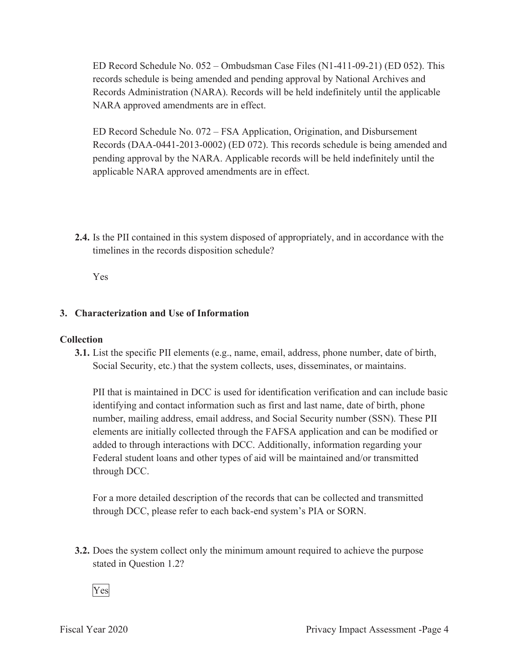ED Record Schedule No. 052 – Ombudsman Case Files (N1-411-09-21) (ED 052). This records schedule is being amended and pending approval by National Archives and Records Administration (NARA). Records will be held indefinitely until the applicable NARA approved amendments are in effect.

ED Record Schedule No. 072 – FSA Application, Origination, and Disbursement Records (DAA-0441-2013-0002) (ED 072). This records schedule is being amended and pending approval by the NARA. Applicable records will be held indefinitely until the applicable NARA approved amendments are in effect.

**2.4.** Is the PII contained in this system disposed of appropriately, and in accordance with the timelines in the records disposition schedule?

Yes

### **3. Characterization and Use of Information**

#### **Collection**

**3.1.** List the specific PII elements (e.g., name, email, address, phone number, date of birth, Social Security, etc.) that the system collects, uses, disseminates, or maintains.

PII that is maintained in DCC is used for identification verification and can include basic identifying and contact information such as first and last name, date of birth, phone number, mailing address, email address, and Social Security number (SSN). These PII elements are initially collected through the FAFSA application and can be modified or added to through interactions with DCC. Additionally, information regarding your Federal student loans and other types of aid will be maintained and/or transmitted through DCC.

For a more detailed description of the records that can be collected and transmitted through DCC, please refer to each back-end system's PIA or SORN.

**3.2.** Does the system collect only the minimum amount required to achieve the purpose stated in Question 1.2?

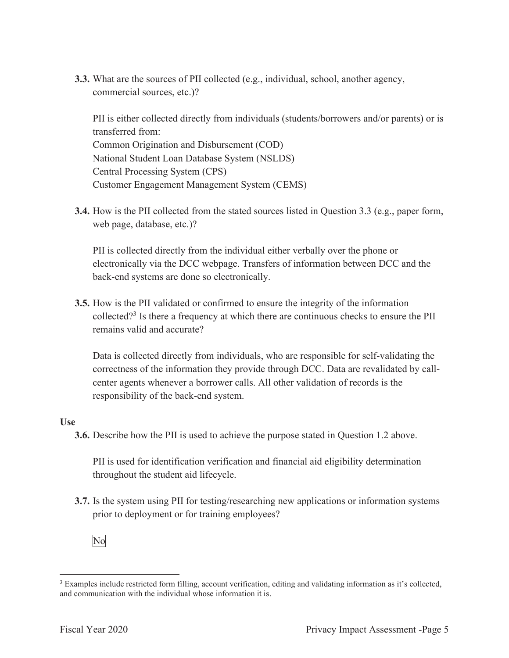**3.3.** What are the sources of PII collected (e.g., individual, school, another agency, commercial sources, etc.)?

PII is either collected directly from individuals (students/borrowers and/or parents) or is transferred from: Common Origination and Disbursement (COD) National Student Loan Database System (NSLDS) Central Processing System (CPS) Customer Engagement Management System (CEMS)

**3.4.** How is the PII collected from the stated sources listed in Question 3.3 (e.g., paper form, web page, database, etc.)?

PII is collected directly from the individual either verbally over the phone or electronically via the DCC webpage. Transfers of information between DCC and the back-end systems are done so electronically.

**3.5.** How is the PII validated or confirmed to ensure the integrity of the information collected?<sup>3</sup> Is there a frequency at which there are continuous checks to ensure the PII remains valid and accurate?

Data is collected directly from individuals, who are responsible for self-validating the correctness of the information they provide through DCC. Data are revalidated by callcenter agents whenever a borrower calls. All other validation of records is the responsibility of the back-end system.

#### **Use**

**3.6.** Describe how the PII is used to achieve the purpose stated in Question 1.2 above.

PII is used for identification verification and financial aid eligibility determination throughout the student aid lifecycle.

**3.7.** Is the system using PII for testing/researching new applications or information systems prior to deployment or for training employees?



<sup>&</sup>lt;sup>3</sup> Examples include restricted form filling, account verification, editing and validating information as it's collected, and communication with the individual whose information it is.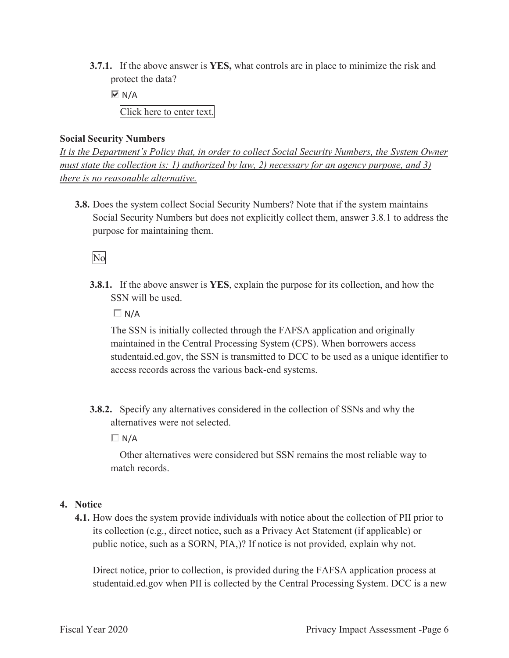**3.7.1.** If the above answer is **YES,** what controls are in place to minimize the risk and protect the data?

 $\overline{M}$  N/A

Click here to enter text.

#### **Social Security Numbers**

It is the Department's Policy that, in order to collect Social Security Numbers, the System Owner *must state the collection is: 1) authorized by law, 2) necessary for an agency purpose, and 3) there is no reasonable alternative.*

**3.8.** Does the system collect Social Security Numbers? Note that if the system maintains Social Security Numbers but does not explicitly collect them, answer 3.8.1 to address the purpose for maintaining them.

## No

**3.8.1.** If the above answer is **YES**, explain the purpose for its collection, and how the SSN will be used.

 $\Box N/A$ 

The SSN is initially collected through the FAFSA application and originally maintained in the Central Processing System (CPS). When borrowers access studentaid.ed.gov, the SSN is transmitted to DCC to be used as a unique identifier to access records across the various back-end systems.

**3.8.2.** Specify any alternatives considered in the collection of SSNs and why the alternatives were not selected.

 $\Box N/A$ 

Other alternatives were considered but SSN remains the most reliable way to match records.

#### **4. Notice**

**4.1.** How does the system provide individuals with notice about the collection of PII prior to its collection (e.g., direct notice, such as a Privacy Act Statement (if applicable) or public notice, such as a SORN, PIA,)? If notice is not provided, explain why not.

Direct notice, prior to collection, is provided during the FAFSA application process at studentaid.ed.gov when PII is collected by the Central Processing System. DCC is a new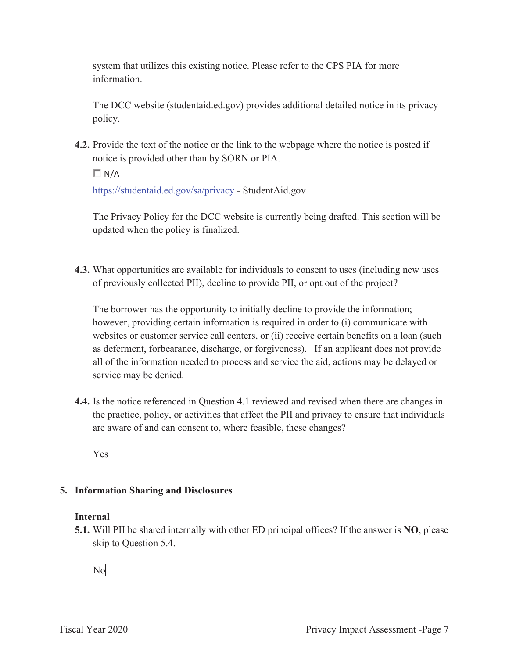system that utilizes this existing notice. Please refer to the CPS PIA for more information.

The DCC website (studentaid.ed.gov) provides additional detailed notice in its privacy policy.

**4.2.** Provide the text of the notice or the link to the webpage where the notice is posted if notice is provided other than by SORN or PIA.

 $\Box$  N/A

https://studentaid.ed.gov/sa/privacy - StudentAid.gov

The Privacy Policy for the DCC website is currently being drafted. This section will be updated when the policy is finalized.

**4.3.** What opportunities are available for individuals to consent to uses (including new uses of previously collected PII), decline to provide PII, or opt out of the project?

The borrower has the opportunity to initially decline to provide the information; however, providing certain information is required in order to (i) communicate with websites or customer service call centers, or (ii) receive certain benefits on a loan (such as deferment, forbearance, discharge, or forgiveness). If an applicant does not provide all of the information needed to process and service the aid, actions may be delayed or service may be denied.

**4.4.** Is the notice referenced in Question 4.1 reviewed and revised when there are changes in the practice, policy, or activities that affect the PII and privacy to ensure that individuals are aware of and can consent to, where feasible, these changes?

Yes

## **5. Information Sharing and Disclosures**

#### **Internal**

**5.1.** Will PII be shared internally with other ED principal offices? If the answer is **NO**, please skip to Question 5.4.

No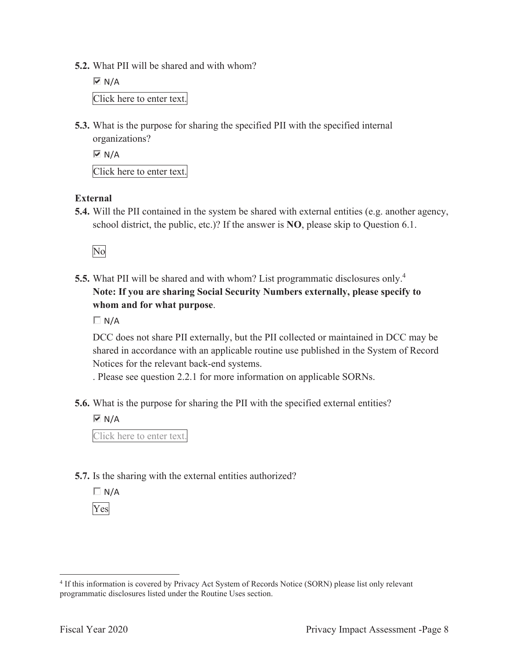**5.2.** What PII will be shared and with whom?

 $\overline{M}$  N/A Click here to enter text.

**5.3.** What is the purpose for sharing the specified PII with the specified internal organizations?

 $\overline{M}$  N/A

Click here to enter text.

#### **External**

**5.4.** Will the PII contained in the system be shared with external entities (e.g. another agency, school district, the public, etc.)? If the answer is **NO**, please skip to Question 6.1.

No

**5.5.** What PII will be shared and with whom? List programmatic disclosures only.<sup>4</sup> **Note: If you are sharing Social Security Numbers externally, please specify to whom and for what purpose**.

 $\Box N/A$ 

DCC does not share PII externally, but the PII collected or maintained in DCC may be shared in accordance with an applicable routine use published in the System of Record Notices for the relevant back-end systems.

. Please see question 2.2.1 for more information on applicable SORNs.

**5.6.** What is the purpose for sharing the PII with the specified external entities?

 $\overline{M}$  N/A

Click here to enter text.

**5.7.** Is the sharing with the external entities authorized?

 $\Box$  N/A Yes

<sup>4</sup> If this information is covered by Privacy Act System of Records Notice (SORN) please list only relevant programmatic disclosures listed under the Routine Uses section.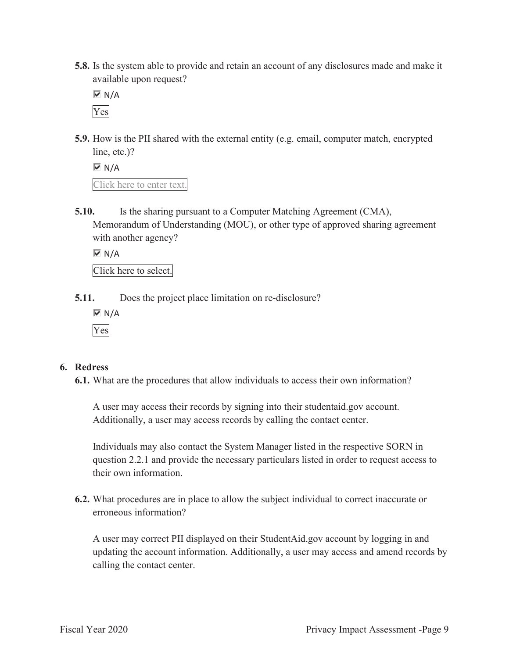**5.8.** Is the system able to provide and retain an account of any disclosures made and make it available upon request?

 $\overline{M}$  N/A Yes

**5.9.** How is the PII shared with the external entity (e.g. email, computer match, encrypted line, etc.)?

 $\overline{M}$  N/A Click here to enter text.

**5.10.** Is the sharing pursuant to a Computer Matching Agreement (CMA), Memorandum of Understanding (MOU), or other type of approved sharing agreement with another agency?

 $\overline{\triangleright}$  N/A

Click here to select.

**5.11.** Does the project place limitation on re-disclosure?

 $\overline{M}$  N/A Yes

#### **6. Redress**

**6.1.** What are the procedures that allow individuals to access their own information?

A user may access their records by signing into their studentaid.gov account. Additionally, a user may access records by calling the contact center.

Individuals may also contact the System Manager listed in the respective SORN in question 2.2.1 and provide the necessary particulars listed in order to request access to their own information.

**6.2.** What procedures are in place to allow the subject individual to correct inaccurate or erroneous information?

A user may correct PII displayed on their StudentAid.gov account by logging in and updating the account information. Additionally, a user may access and amend records by calling the contact center.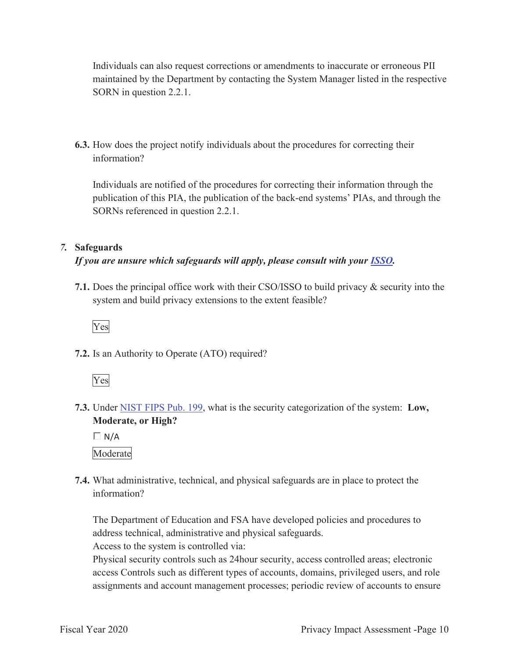Individuals can also request corrections or amendments to inaccurate or erroneous PII maintained by the Department by contacting the System Manager listed in the respective SORN in question 2.2.1.

**6.3.** How does the project notify individuals about the procedures for correcting their information?

Individuals are notified of the procedures for correcting their information through the publication of this PIA, the publication of the back-end systems' PIAs, and through the SORNs referenced in question 2.2.1.

#### *7.* **Safeguards**

## *If you are unsure which safeguards will apply, please consult with your ISSO.*

**7.1.** Does the principal office work with their CSO/ISSO to build privacy & security into the system and build privacy extensions to the extent feasible?



**7.2.** Is an Authority to Operate (ATO) required?



**7.3.** Under NIST FIPS Pub. 199, what is the security categorization of the system: **Low, Moderate, or High?**

 $\Box$  N/A Moderate

**7.4.** What administrative, technical, and physical safeguards are in place to protect the information?

The Department of Education and FSA have developed policies and procedures to address technical, administrative and physical safeguards.

Access to the system is controlled via:

Physical security controls such as 24hour security, access controlled areas; electronic access Controls such as different types of accounts, domains, privileged users, and role assignments and account management processes; periodic review of accounts to ensure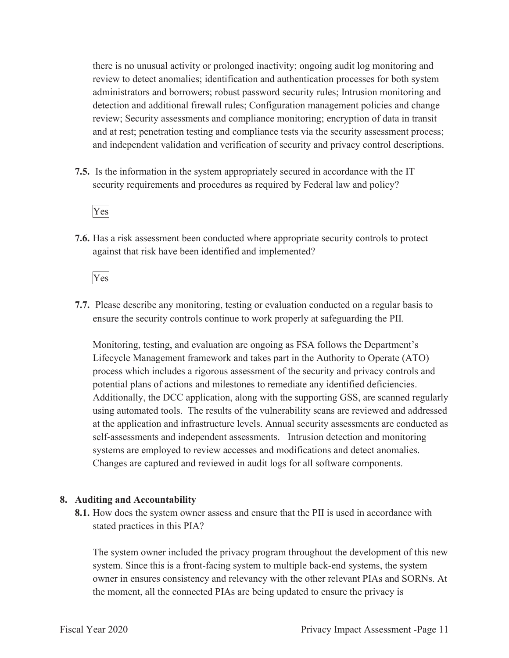there is no unusual activity or prolonged inactivity; ongoing audit log monitoring and review to detect anomalies; identification and authentication processes for both system administrators and borrowers; robust password security rules; Intrusion monitoring and detection and additional firewall rules; Configuration management policies and change review; Security assessments and compliance monitoring; encryption of data in transit and at rest; penetration testing and compliance tests via the security assessment process; and independent validation and verification of security and privacy control descriptions.

**7.5.** Is the information in the system appropriately secured in accordance with the IT security requirements and procedures as required by Federal law and policy?

#### Yes

**7.6.** Has a risk assessment been conducted where appropriate security controls to protect against that risk have been identified and implemented?

Yes

**7.7.** Please describe any monitoring, testing or evaluation conducted on a regular basis to ensure the security controls continue to work properly at safeguarding the PII.

Monitoring, testing, and evaluation are ongoing as FSA follows the Department's Lifecycle Management framework and takes part in the Authority to Operate (ATO) process which includes a rigorous assessment of the security and privacy controls and potential plans of actions and milestones to remediate any identified deficiencies. Additionally, the DCC application, along with the supporting GSS, are scanned regularly using automated tools. The results of the vulnerability scans are reviewed and addressed at the application and infrastructure levels. Annual security assessments are conducted as self-assessments and independent assessments. Intrusion detection and monitoring systems are employed to review accesses and modifications and detect anomalies. Changes are captured and reviewed in audit logs for all software components.

#### **8. Auditing and Accountability**

**8.1.** How does the system owner assess and ensure that the PII is used in accordance with stated practices in this PIA?

The system owner included the privacy program throughout the development of this new system. Since this is a front-facing system to multiple back-end systems, the system owner in ensures consistency and relevancy with the other relevant PIAs and SORNs. At the moment, all the connected PIAs are being updated to ensure the privacy is